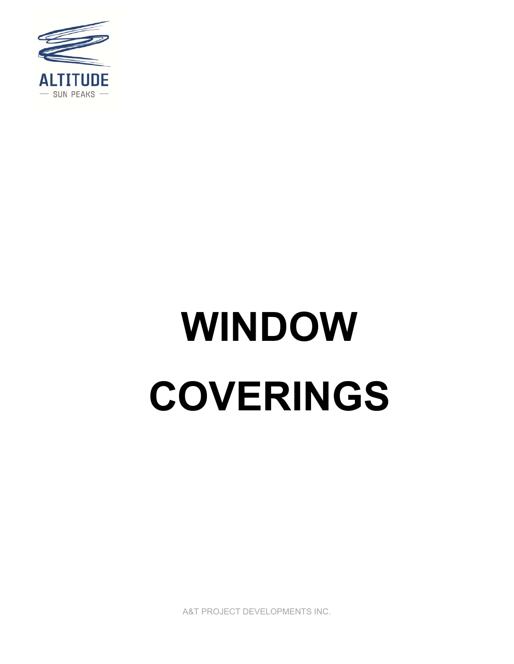

# **WINDOW COVERINGS**

A&T PROJECT DEVELOPMENTS INC.